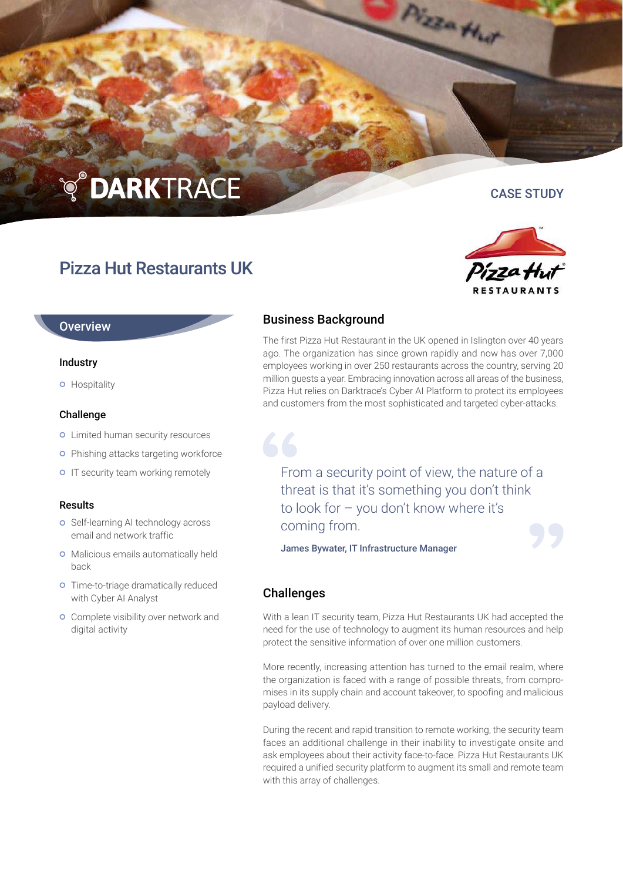# **TO DARKTRACE**

# Pizza Hut Restaurants UK

#### **Overview**

#### Industry

**o** Hospitality

#### Challenge

- **o** Limited human security resources
- **o** Phishing attacks targeting workforce
- o IT security team working remotely

#### Results

- **o** Self-learning AI technology across email and network traffic
- o Malicious emails automatically held back
- **o** Time-to-triage dramatically reduced with Cyber AI Analyst
- **o** Complete visibility over network and digital activity

# Business Background

The first Pizza Hut Restaurant in the UK opened in Islington over 40 years ago. The organization has since grown rapidly and now has over 7,000 employees working in over 250 restaurants across the country, serving 20 million guests a year. Embracing innovation across all areas of the business, Pizza Hut relies on Darktrace's Cyber AI Platform to protect its employees and customers from the most sophisticated and targeted cyber-attacks.

Pizzather

From a security point of view, the nature of a threat is that it's something you don't think to look for – you don't know where it's coming from.

James Bywater, IT Infrastructure Manager

### **Challenges**

With a lean IT security team, Pizza Hut Restaurants UK had accepted the need for the use of technology to augment its human resources and help protect the sensitive information of over one million customers.

More recently, increasing attention has turned to the email realm, where the organization is faced with a range of possible threats, from compromises in its supply chain and account takeover, to spoofing and malicious payload delivery.

During the recent and rapid transition to remote working, the security team faces an additional challenge in their inability to investigate onsite and ask employees about their activity face-to-face. Pizza Hut Restaurants UK required a unified security platform to augment its small and remote team with this array of challenges.







# CASE STUDY